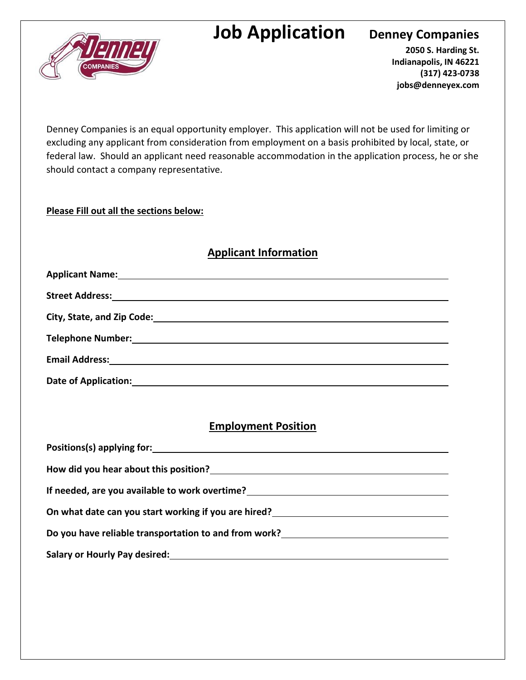# **Job Application** Denney Companies



**2050 S. Harding St. Indianapolis, IN 46221 (317) 423-0738 jobs@denneyex.com**

Denney Companies is an equal opportunity employer. This application will not be used for limiting or excluding any applicant from consideration from employment on a basis prohibited by local, state, or federal law. Should an applicant need reasonable accommodation in the application process, he or she should contact a company representative.

### **Please Fill out all the sections below:**

## **Applicant Information**

| City, State, and Zip Code: Notice and Sip Code: |
|-------------------------------------------------|
|                                                 |
|                                                 |
| <b>Date of Application:</b>                     |

## **Employment Position**

| How did you hear about this position?                  |
|--------------------------------------------------------|
| If needed, are you available to work overtime?         |
| On what date can you start working if you are hired?   |
| Do you have reliable transportation to and from work?  |
| Salary or Hourly Pay desired: Manual Assembly Desired: |
|                                                        |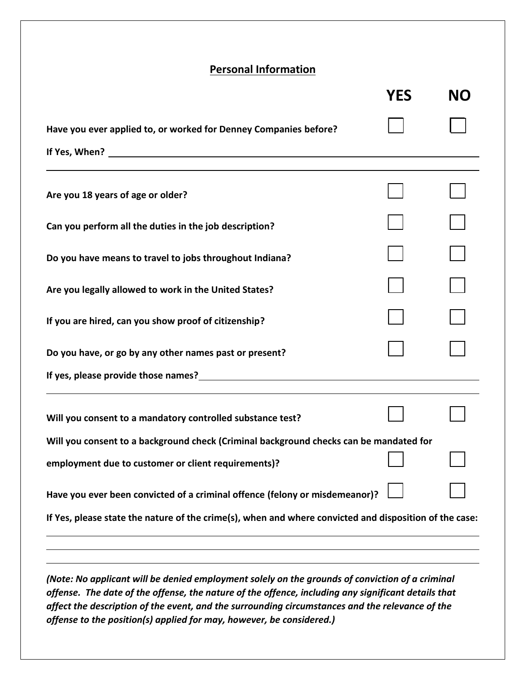## **Personal Information**

|                                                                                                        | YES | <b>NO</b> |
|--------------------------------------------------------------------------------------------------------|-----|-----------|
| Have you ever applied to, or worked for Denney Companies before?                                       |     |           |
|                                                                                                        |     |           |
| Are you 18 years of age or older?                                                                      |     |           |
| Can you perform all the duties in the job description?                                                 |     |           |
| Do you have means to travel to jobs throughout Indiana?                                                |     |           |
| Are you legally allowed to work in the United States?                                                  |     |           |
| If you are hired, can you show proof of citizenship?                                                   |     |           |
| Do you have, or go by any other names past or present?                                                 |     |           |
|                                                                                                        |     |           |
| Will you consent to a mandatory controlled substance test?                                             |     |           |
| Will you consent to a background check (Criminal background checks can be mandated for                 |     |           |
| employment due to customer or client requirements)?                                                    |     |           |
| Have you ever been convicted of a criminal offence (felony or misdemeanor)?                            |     |           |
| If Yes, please state the nature of the crime(s), when and where convicted and disposition of the case: |     |           |
|                                                                                                        |     |           |
| (Note: No applicant will be denied employment solely on the arounds of conviction of a criminal        |     |           |

*(Note: No applicant will be denied employment solely on the grounds of conviction of a criminal offense. The date of the offense, the nature of the offence, including any significant details that affect the description of the event, and the surrounding circumstances and the relevance of the offense to the position(s) applied for may, however, be considered.)*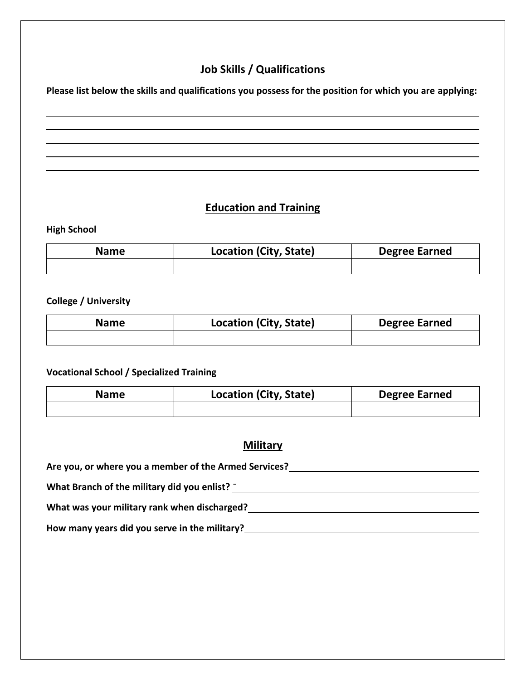## **Job Skills / Qualifications**

**Please list below the skills and qualifications you possess for the position for which you are applying:**

## **Education and Training**

#### **High School**

| <b>Name</b> | <b>Location (City, State)</b> | <b>Degree Earned</b> |
|-------------|-------------------------------|----------------------|
|             |                               |                      |

#### **College / University**

| <b>Name</b> | Location (City, State) | <b>Degree Earned</b> |
|-------------|------------------------|----------------------|
|             |                        |                      |

#### **Vocational School / Specialized Training**

| <b>Name</b> | <b>Location (City, State)</b> | <b>Degree Earned</b> |
|-------------|-------------------------------|----------------------|
|             |                               |                      |

## **Military**

**Are you, or where you a member of the Armed Services?**

**What Branch of the military did you enlist?** -

**What was your military rank when discharged?**

**How many years did you serve in the military?**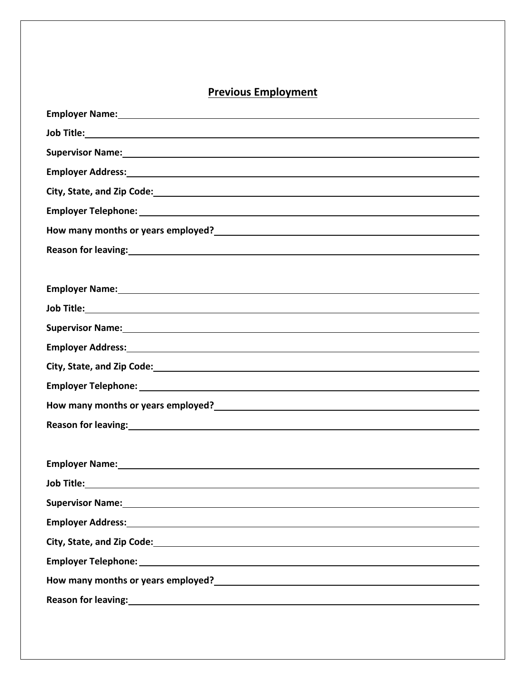## **Previous Employment**

| Employer Name: 1988 Contract Contract Contract Contract Contract Contract Contract Contract Contract Contract Contract Contract Contract Contract Contract Contract Contract Contract Contract Contract Contract Contract Cont         |
|----------------------------------------------------------------------------------------------------------------------------------------------------------------------------------------------------------------------------------------|
|                                                                                                                                                                                                                                        |
|                                                                                                                                                                                                                                        |
| Employer Address: Universe of the Contract of the Contract of the Contract of the Contract of the Contract of the Contract of the Contract of the Contract of the Contract of the Contract of the Contract of the Contract of          |
|                                                                                                                                                                                                                                        |
|                                                                                                                                                                                                                                        |
| How many months or years employed?<br><u> Letter and the contract of the contract of the contract of the contract of the contract of the contract of the contract of the contract of the contract of the contract of the contract </u> |
| Reason for leaving: 1999 and 2009 and 2009 and 2009 and 2009 and 2009 and 2009 and 2009 and 2009 and 2009 and 2009 and 2009 and 2009 and 2009 and 2009 and 2009 and 2009 and 2009 and 2009 and 2009 and 2009 and 2009 and 2009         |
|                                                                                                                                                                                                                                        |
| Employer Name: 1988 and 2008 and 2008 and 2008 and 2008 and 2008 and 2008 and 2008 and 2008 and 2008 and 2008                                                                                                                          |
|                                                                                                                                                                                                                                        |
| Supervisor Name: 1999 Manual Communication of the Communication of the Communication of the Communication of the Communication of the Communication of the Communication of the Communication of the Communication of the Comm         |
|                                                                                                                                                                                                                                        |
| City, State, and Zip Code: 1998 Communication of the City, State, and Zip Code:                                                                                                                                                        |
|                                                                                                                                                                                                                                        |
| How many months or years employed?<br><u> Letter and the contract of the contract of the contract of the contract of the contract of the contract of the contract of the contract of the contract of the contract of the contract </u> |
| Reason for leaving: 1999 and 2009 and 2009 and 2009 and 2009 and 2009 and 2009 and 2009 and 2009 and 2009 and 2009 and 2009 and 2009 and 2009 and 2009 and 2009 and 2009 and 2009 and 2009 and 2009 and 2009 and 2009 and 2009         |
|                                                                                                                                                                                                                                        |
| Employer Name: 1999 Manual Communication of the Communication of the Communication of the Communication of the                                                                                                                         |
| Job Title: <u>Andreas Andreas Andreas Andreas Andreas Andreas Andreas Andreas Andreas Andreas Andreas Andreas Andreas Andreas Andreas Andreas Andreas Andreas Andreas Andreas Andreas Andreas Andreas Andreas Andreas Andreas An</u>   |
| Supervisor Name: 1988 Manual Manual Manual Manual Manual Manual Manual Manual Manual Manual Manual Manual Manu                                                                                                                         |
|                                                                                                                                                                                                                                        |
|                                                                                                                                                                                                                                        |
|                                                                                                                                                                                                                                        |
|                                                                                                                                                                                                                                        |
| Reason for leaving: example and a series of the series of the series of the series of the series of the series                                                                                                                         |
|                                                                                                                                                                                                                                        |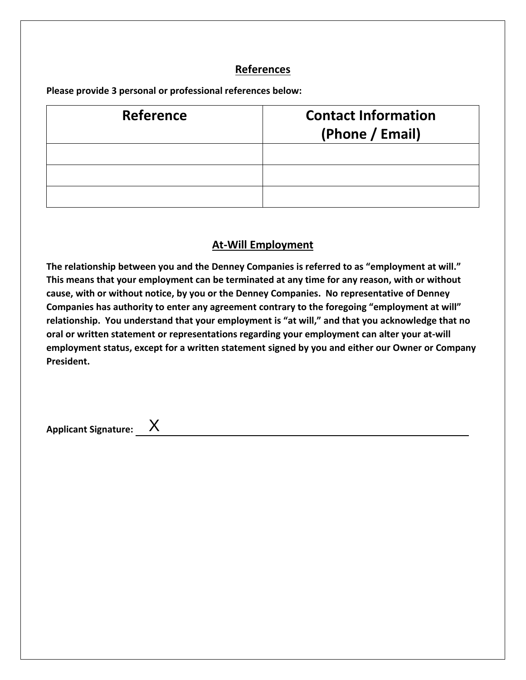## **References**

**Please provide 3 personal or professional references below:**

| <b>Reference</b> | <b>Contact Information</b><br>(Phone / Email) |
|------------------|-----------------------------------------------|
|                  |                                               |
|                  |                                               |
|                  |                                               |

## **At-Will Employment**

**The relationship between you and the Denney Companies is referred to as "employment at will." This means that your employment can be terminated at any time for any reason, with or without cause, with or without notice, by you or the Denney Companies. No representative of Denney Companies has authority to enter any agreement contrary to the foregoing "employment at will" relationship. You understand that your employment is "at will," and that you acknowledge that no oral or written statement or representations regarding your employment can alter your at-will employment status, except for a written statement signed by you and either our Owner or Company President.** 

**Applicant Signature:** X